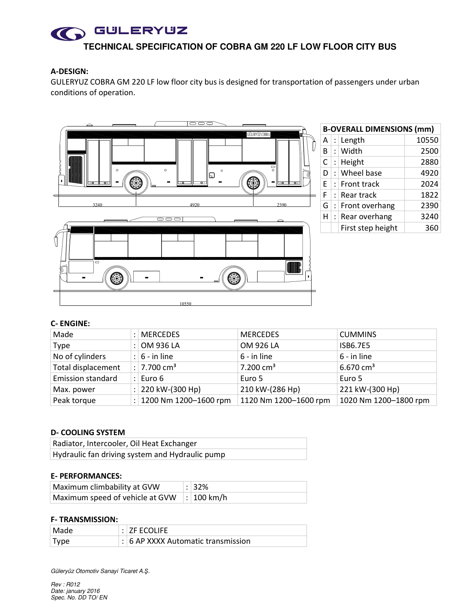

## **A-DESIGN:**

GULERYUZ COBRA GM 220 LF low floor city bus is designed for transportation of passengers under urban conditions of operation.



## **C- ENGINE:**

| Made                     |           | <b>MERCEDES</b>          | <b>MERCEDES</b>       | <b>CUMMINS</b>        |
|--------------------------|-----------|--------------------------|-----------------------|-----------------------|
| Type                     |           | OM 936 LA                | OM 926 LA             | <b>ISB6.7E5</b>       |
| No of cylinders          |           | : $6 - in line$          | 6 - in line           | 6 - in line           |
| Total displacement       |           | $ : 7.700 \text{ cm}^3 $ | $7.200 \text{ cm}^3$  | $6.670 \text{ cm}^3$  |
| <b>Emission standard</b> |           | $:$ Euro 6               | Euro 5                | Euro 5                |
| Max. power               |           | : 220 kW-(300 Hp)        | 210 kW-(286 Hp)       | 221 kW-(300 Hp)       |
| Peak torque              | $\cdot$ 1 | 1200 Nm 1200-1600 rpm    | 1120 Nm 1200-1600 rpm | 1020 Nm 1200-1800 rpm |

## **D- COOLING SYSTEM**

| Radiator, Intercooler, Oil Heat Exchanger       |  |
|-------------------------------------------------|--|
| Hydraulic fan driving system and Hydraulic pump |  |

## **E- PERFORMANCES:**

| Maximum climbability at GVW                              | $\frac{1}{2}$ : 32% |
|----------------------------------------------------------|---------------------|
| Maximum speed of vehicle at GVW $\mid$ : $\mid$ 100 km/h |                     |

## **F- TRANSMISSION:**

| Made   | $:$ $ZF$ ECOLIFE                     |
|--------|--------------------------------------|
| ∣ Type | $: 6$ AP XXXX Automatic transmission |

Güleryüz Otomotiv Sanayi Ticaret A.*Ş*.

Rev : R012 Date: january 2016 Spec. No. DD TO/ EN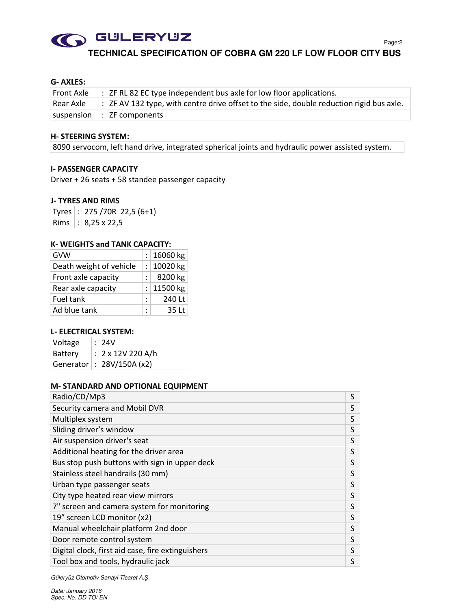

**TECHNICAL SPECIFICATION OF COBRA GM 220 LF LOW FLOOR CITY BUS**

## **G- AXLES:**

| Front Axle  | $\vert$ : $\vert$ ZF RL 82 EC type independent bus axle for low floor applications.                 |
|-------------|-----------------------------------------------------------------------------------------------------|
| l Rear Axle | $\mid$ : $ $ ZF AV 132 type, with centre drive offset to the side, double reduction rigid bus axle. |
|             | $ $ suspension $ $ : $ $ ZF components                                                              |

#### **H- STEERING SYSTEM:**

8090 servocom, left hand drive, integrated spherical joints and hydraulic power assisted system.

#### **I- PASSENGER CAPACITY**

Driver + 26 seats + 58 standee passenger capacity

## **J- TYRES AND RIMS**

|  | Tyres : 275 / 70R 22,5 (6+1) |
|--|------------------------------|
|  | Rims : 8,25 x 22,5           |

#### **K- WEIGHTS and TANK CAPACITY:**

| GVW                     |   | : $16060$ kg  |
|-------------------------|---|---------------|
| Death weight of vehicle |   | : $ 10020$ kg |
| Front axle capacity     |   | $8200$ kg     |
| Rear axle capacity      |   | : $ 11500$ kg |
| Fuel tank               | ٠ | 240 Lt        |
| Ad blue tank            | ٠ | $35$ Lt       |

## **L- ELECTRICAL SYSTEM:**

| Voltage | : 24V                         |
|---------|-------------------------------|
| Battery | : $2 \times 12V$ 220 A/h      |
|         | Generator   :   28V/150A (x2) |

## **M- STANDARD AND OPTIONAL EQUIPMENT**

| Radio/CD/Mp3                                      | S |
|---------------------------------------------------|---|
| Security camera and Mobil DVR                     | S |
| Multiplex system                                  | S |
| Sliding driver's window                           | S |
| Air suspension driver's seat                      | S |
| Additional heating for the driver area            | S |
| Bus stop push buttons with sign in upper deck     | S |
| Stainless steel handrails (30 mm)                 | S |
| Urban type passenger seats                        | S |
| City type heated rear view mirrors                | S |
| 7" screen and camera system for monitoring        | S |
| 19" screen LCD monitor (x2)                       | S |
| Manual wheelchair platform 2nd door               | S |
| Door remote control system                        | S |
| Digital clock, first aid case, fire extinguishers | S |
| Tool box and tools, hydraulic jack                | S |

Güleryüz Otomotiv Sanayi Ticaret A.*Ş*.